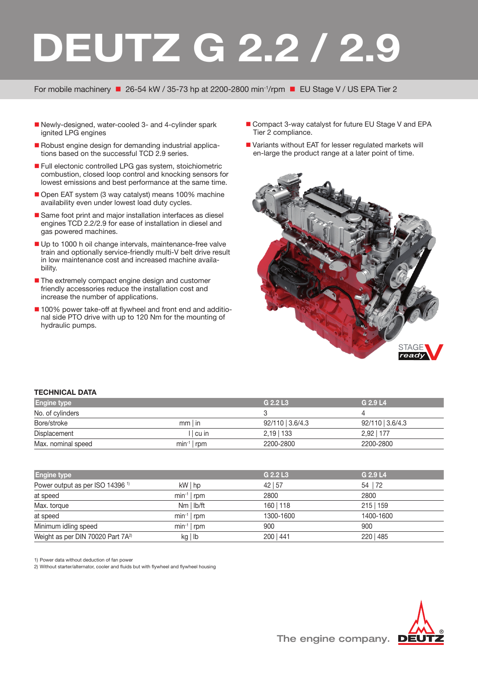## **DEUTZ G 2.2 / 2.9**

For mobile machinery ■ 26-54 kW / 35-73 hp at 2200-2800 min<sup>-1</sup>/rpm ■ EU Stage V / US EPA Tier 2

- Newly-designed, water-cooled 3- and 4-cylinder spark ignited LPG engines
- Robust engine design for demanding industrial applications based on the successful TCD 2.9 series.
- Full electonic controlled LPG gas system, stoichiometric combustion, closed loop control and knocking sensors for lowest emissions and best performance at the same time.
- Open EAT system (3 way catalyst) means 100% machine availability even under lowest load duty cycles.
- Same foot print and major installation interfaces as diesel engines TCD 2.2/2.9 for ease of installation in diesel and gas powered machines.
- Up to 1000 h oil change intervals, maintenance-free valve train and optionally service-friendly multi-V belt drive result in low maintenance cost and increased machine availability.
- The extremely compact engine design and customer friendly accessories reduce the installation cost and increase the number of applications.
- 100% power take-off at flywheel and front end and additional side PTO drive with up to 120 Nm for the mounting of hydraulic pumps.
- Compact 3-way catalyst for future EU Stage V and EPA Tier 2 compliance.
- Variants without EAT for lesser regulated markets will en-large the product range at a later point of time.



## **TECHNICAL DATA**

| <b>Engine type</b> |                | G 2.2 L3           | G 2.9 L4           |  |
|--------------------|----------------|--------------------|--------------------|--|
| No. of cylinders   |                |                    |                    |  |
| Bore/stroke        | $mm$ in        | $92/110$   3.6/4.3 | $92/110$   3.6/4.3 |  |
| Displacement       | cu             | $2,19$   133       | 2.92   177         |  |
| Max. nominal speed | $min^{-1}$ rpm | 2200-2800          | 2200-2800          |  |

| <b>Engine type</b>                            |                | G 2.2 L3  | G 2.9 L4    |
|-----------------------------------------------|----------------|-----------|-------------|
| Power output as per ISO 14396 <sup>1)</sup>   | $kW$   hp      | 42 57     | 54   72     |
| at speed                                      | $min^{-1}$ rpm | 2800      | 2800        |
| Max. torque                                   | $Nm$   $lb/ft$ | 160   118 | $215$   159 |
| at speed                                      | $min^{-1}$ rpm | 1300-1600 | 1400-1600   |
| Minimum idling speed                          | $min^{-1}$ rpm | 900       | 900         |
| Weight as per DIN 70020 Part 7A <sup>2)</sup> | kg lb          | 200   441 | 220   485   |

1) Power data without deduction of fan power

2) Without starter/alternator, cooler and fluids but with flywheel and flywheel housing